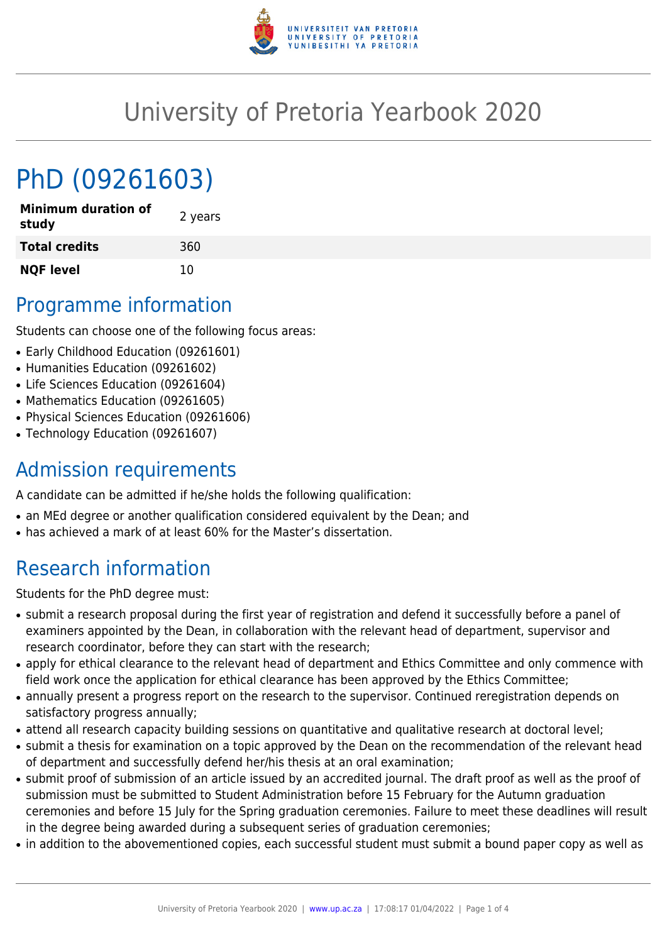

## University of Pretoria Yearbook 2020

# PhD (09261603)

| <b>Minimum duration of</b><br>study | 2 years |
|-------------------------------------|---------|
| <b>Total credits</b>                | 360     |
| <b>NQF level</b>                    | 10      |

### Programme information

Students can choose one of the following focus areas:

- Early Childhood Education (09261601)
- Humanities Education (09261602)
- Life Sciences Education (09261604)
- Mathematics Education (09261605)
- Physical Sciences Education (09261606)
- Technology Education (09261607)

### Admission requirements

A candidate can be admitted if he/she holds the following qualification:

- an MEd degree or another qualification considered equivalent by the Dean; and
- has achieved a mark of at least 60% for the Master's dissertation.

### Research information

Students for the PhD degree must:

- submit a research proposal during the first year of registration and defend it successfully before a panel of examiners appointed by the Dean, in collaboration with the relevant head of department, supervisor and research coordinator, before they can start with the research;
- apply for ethical clearance to the relevant head of department and Ethics Committee and only commence with field work once the application for ethical clearance has been approved by the Ethics Committee;
- annually present a progress report on the research to the supervisor. Continued reregistration depends on satisfactory progress annually;
- attend all research capacity building sessions on quantitative and qualitative research at doctoral level;
- submit a thesis for examination on a topic approved by the Dean on the recommendation of the relevant head of department and successfully defend her/his thesis at an oral examination;
- submit proof of submission of an article issued by an accredited journal. The draft proof as well as the proof of submission must be submitted to Student Administration before 15 February for the Autumn graduation ceremonies and before 15 July for the Spring graduation ceremonies. Failure to meet these deadlines will result in the degree being awarded during a subsequent series of graduation ceremonies;
- in addition to the abovementioned copies, each successful student must submit a bound paper copy as well as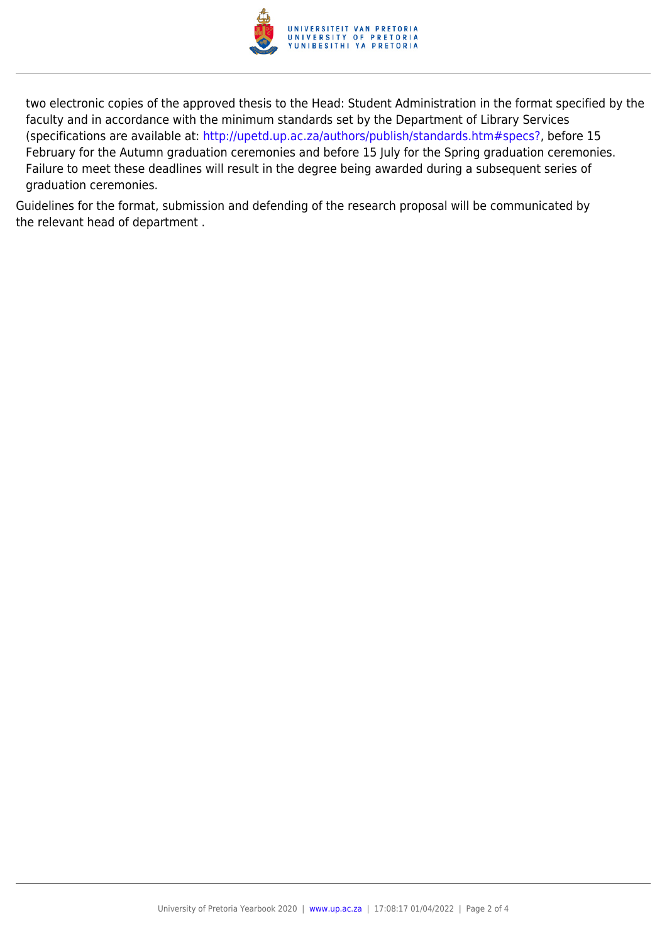

two electronic copies of the approved thesis to the Head: Student Administration in the format specified by the faculty and in accordance with the minimum standards set by the Department of Library Services (specifications are available at: [http://upetd.up.ac.za/authors/publish/standards.htm#specs?,](http://upetd.up.ac.za/authors/publish/standards.htm#specs) before 15 February for the Autumn graduation ceremonies and before 15 July for the Spring graduation ceremonies. Failure to meet these deadlines will result in the degree being awarded during a subsequent series of graduation ceremonies.

Guidelines for the format, submission and defending of the research proposal will be communicated by the relevant head of department .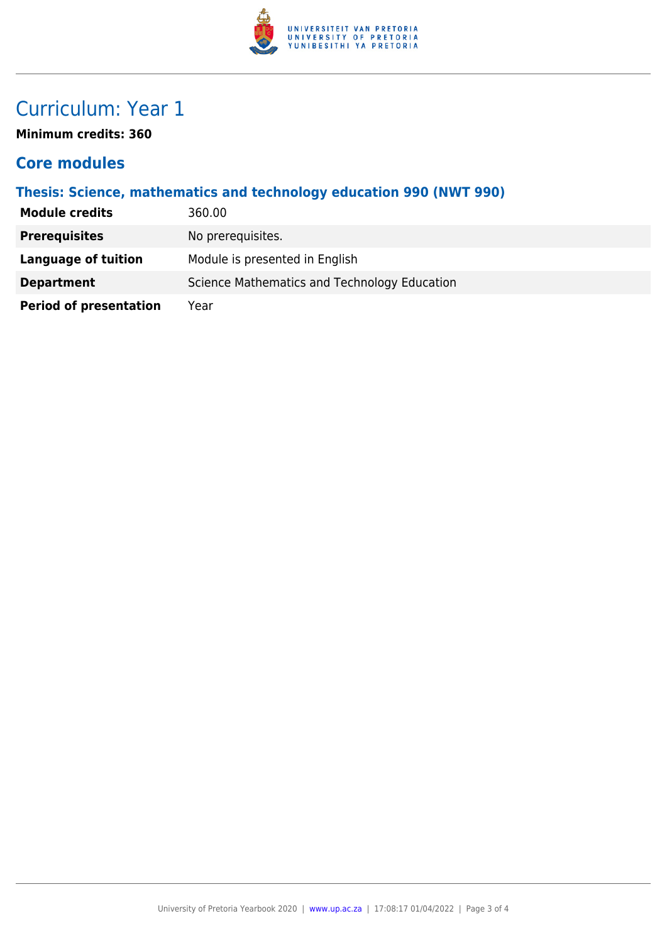

### Curriculum: Year 1

**Minimum credits: 360**

#### **Core modules**

#### **Thesis: Science, mathematics and technology education 990 (NWT 990)**

| <b>Module credits</b>         | 360.00                                       |
|-------------------------------|----------------------------------------------|
| <b>Prerequisites</b>          | No prerequisites.                            |
| Language of tuition           | Module is presented in English               |
| <b>Department</b>             | Science Mathematics and Technology Education |
| <b>Period of presentation</b> | Year                                         |